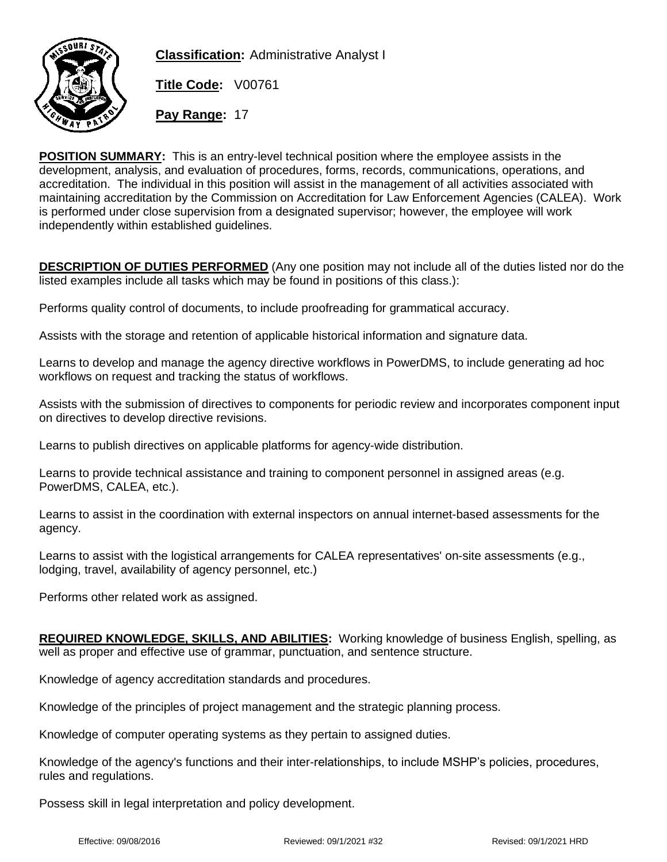

**Classification:** Administrative Analyst I

**Title Code:** V00761

**Pay Range:** 17

**POSITION SUMMARY:** This is an entry-level technical position where the employee assists in the development, analysis, and evaluation of procedures, forms, records, communications, operations, and accreditation. The individual in this position will assist in the management of all activities associated with maintaining accreditation by the Commission on Accreditation for Law Enforcement Agencies (CALEA). Work is performed under close supervision from a designated supervisor; however, the employee will work independently within established guidelines.

**DESCRIPTION OF DUTIES PERFORMED** (Any one position may not include all of the duties listed nor do the listed examples include all tasks which may be found in positions of this class.):

Performs quality control of documents, to include proofreading for grammatical accuracy.

Assists with the storage and retention of applicable historical information and signature data.

Learns to develop and manage the agency directive workflows in PowerDMS, to include generating ad hoc workflows on request and tracking the status of workflows.

Assists with the submission of directives to components for periodic review and incorporates component input on directives to develop directive revisions.

Learns to publish directives on applicable platforms for agency-wide distribution.

Learns to provide technical assistance and training to component personnel in assigned areas (e.g. PowerDMS, CALEA, etc.).

Learns to assist in the coordination with external inspectors on annual internet-based assessments for the agency.

Learns to assist with the logistical arrangements for CALEA representatives' on-site assessments (e.g., lodging, travel, availability of agency personnel, etc.)

Performs other related work as assigned.

**REQUIRED KNOWLEDGE, SKILLS, AND ABILITIES:** Working knowledge of business English, spelling, as well as proper and effective use of grammar, punctuation, and sentence structure.

Knowledge of agency accreditation standards and procedures.

Knowledge of the principles of project management and the strategic planning process.

Knowledge of computer operating systems as they pertain to assigned duties.

Knowledge of the agency's functions and their inter-relationships, to include MSHP's policies, procedures, rules and regulations.

Possess skill in legal interpretation and policy development.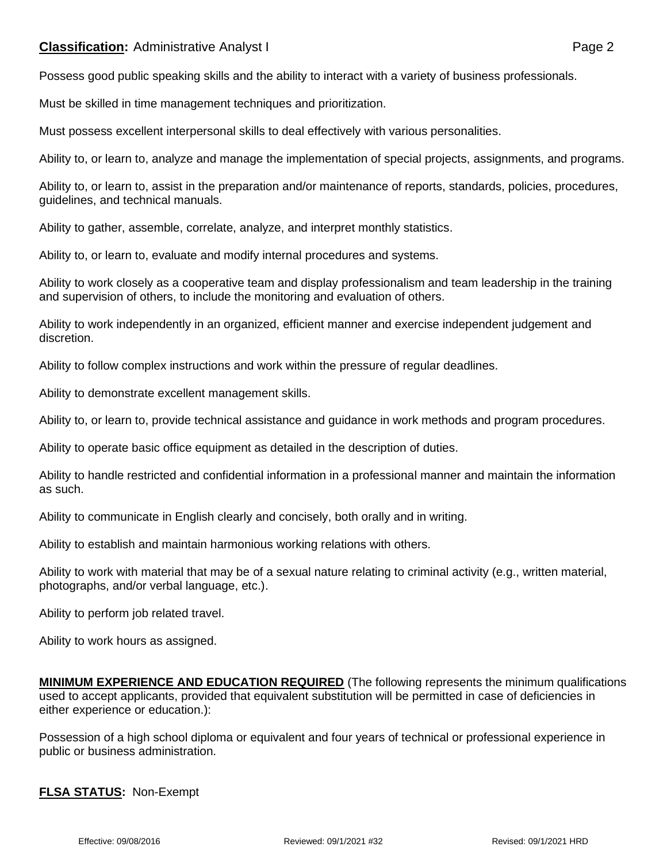## **Classification:** Administrative Analyst I **Classification:** Page 2

Possess good public speaking skills and the ability to interact with a variety of business professionals.

Must be skilled in time management techniques and prioritization.

Must possess excellent interpersonal skills to deal effectively with various personalities.

Ability to, or learn to, analyze and manage the implementation of special projects, assignments, and programs.

Ability to, or learn to, assist in the preparation and/or maintenance of reports, standards, policies, procedures, guidelines, and technical manuals.

Ability to gather, assemble, correlate, analyze, and interpret monthly statistics.

Ability to, or learn to, evaluate and modify internal procedures and systems.

Ability to work closely as a cooperative team and display professionalism and team leadership in the training and supervision of others, to include the monitoring and evaluation of others.

Ability to work independently in an organized, efficient manner and exercise independent judgement and discretion.

Ability to follow complex instructions and work within the pressure of regular deadlines.

Ability to demonstrate excellent management skills.

Ability to, or learn to, provide technical assistance and guidance in work methods and program procedures.

Ability to operate basic office equipment as detailed in the description of duties.

Ability to handle restricted and confidential information in a professional manner and maintain the information as such.

Ability to communicate in English clearly and concisely, both orally and in writing.

Ability to establish and maintain harmonious working relations with others.

Ability to work with material that may be of a sexual nature relating to criminal activity (e.g., written material, photographs, and/or verbal language, etc.).

Ability to perform job related travel.

Ability to work hours as assigned.

**MINIMUM EXPERIENCE AND EDUCATION REQUIRED** (The following represents the minimum qualifications used to accept applicants, provided that equivalent substitution will be permitted in case of deficiencies in either experience or education.):

Possession of a high school diploma or equivalent and four years of technical or professional experience in public or business administration.

**FLSA STATUS:** Non-Exempt